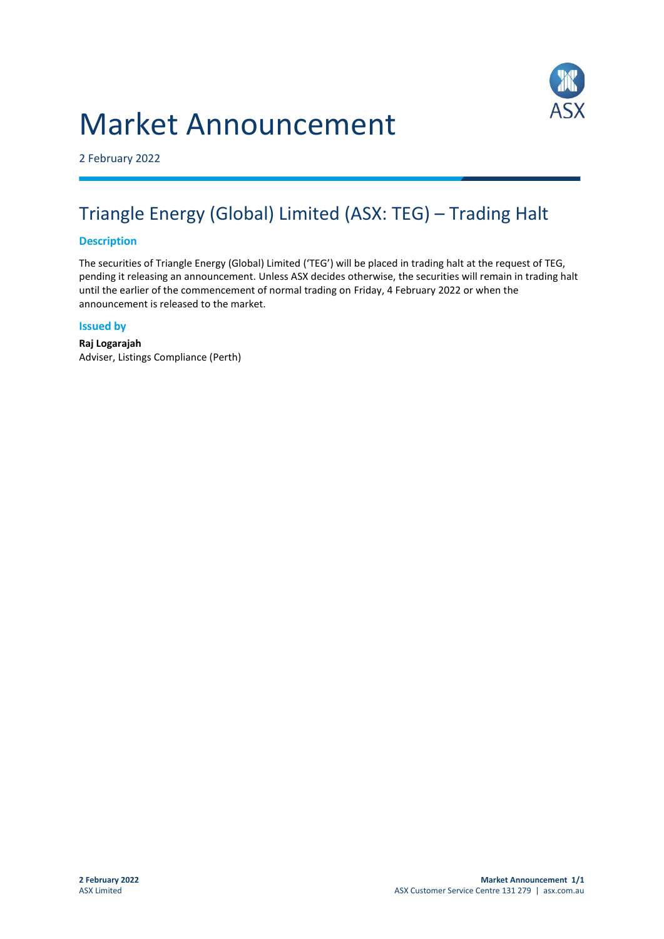# Market Announcement



2 February 2022

# Triangle Energy (Global) Limited (ASX: TEG) – Trading Halt

## **Description**

The securities of Triangle Energy (Global) Limited ('TEG') will be placed in trading halt at the request of TEG, pending it releasing an announcement. Unless ASX decides otherwise, the securities will remain in trading halt until the earlier of the commencement of normal trading on Friday, 4 February 2022 or when the announcement is released to the market.

#### **Issued by**

**Raj Logarajah** Adviser, Listings Compliance (Perth)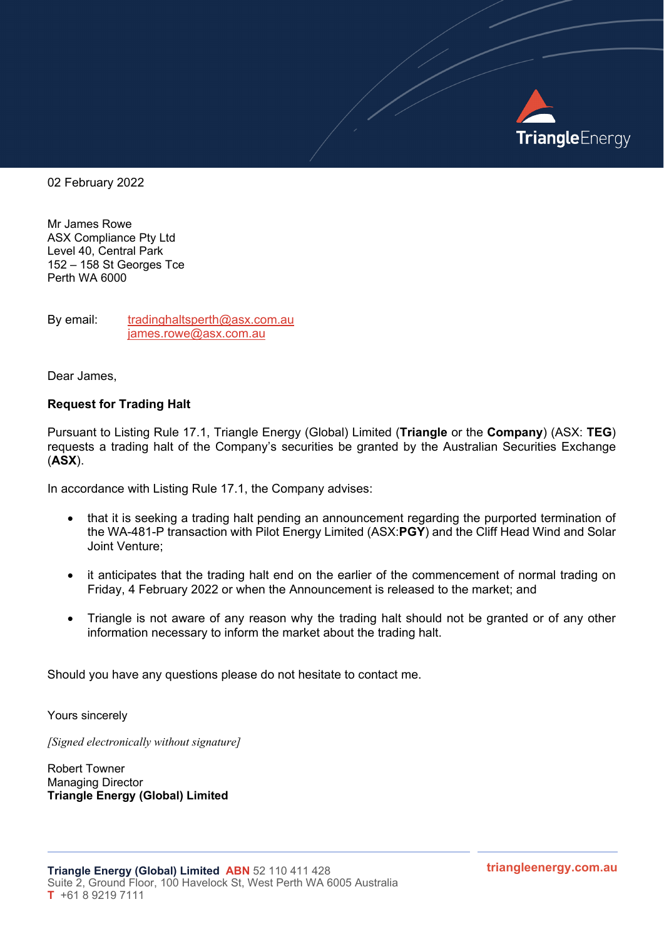

02 February 2022

Mr James Rowe ASX Compliance Pty Ltd Level 40, Central Park 152 – 158 St Georges Tce Perth WA 6000

By email: [tradinghaltsperth@asx.com.au](mailto:tradinghaltsperth@asx.com.au) [james.rowe@asx.com.au](mailto:james.rowe@asx.com.au)

Dear James,

#### **Request for Trading Halt**

Pursuant to Listing Rule 17.1, Triangle Energy (Global) Limited (**Triangle** or the **Company**) (ASX: **TEG**) requests a trading halt of the Company's securities be granted by the Australian Securities Exchange (**ASX**).

In accordance with Listing Rule 17.1, the Company advises:

- that it is seeking a trading halt pending an announcement regarding the purported termination of the WA-481-P transaction with Pilot Energy Limited (ASX:**PGY**) and the Cliff Head Wind and Solar Joint Venture;
- it anticipates that the trading halt end on the earlier of the commencement of normal trading on Friday, 4 February 2022 or when the Announcement is released to the market; and
- Triangle is not aware of any reason why the trading halt should not be granted or of any other information necessary to inform the market about the trading halt.

Should you have any questions please do not hesitate to contact me.

Yours sincerely

*[Signed electronically without signature]*

Robert Towner Managing Director **Triangle Energy (Global) Limited**